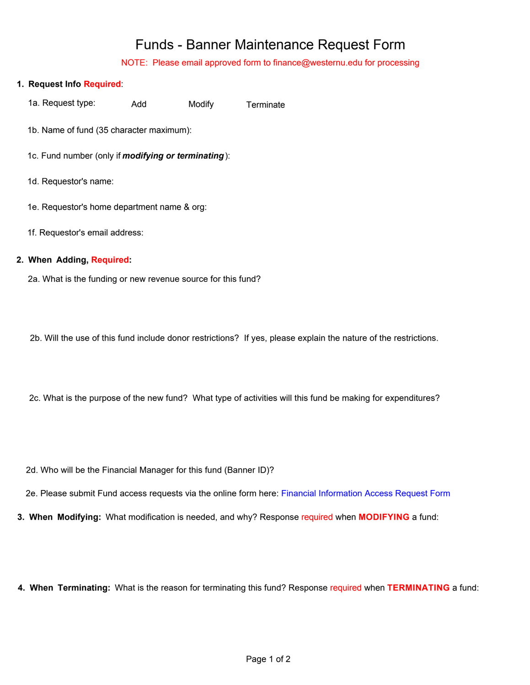## Funds - Banner Maintenance Request Form

NOTE: Please email approved form to finance@westernu.edu for processing

| 1. Request Info Required:                                   |
|-------------------------------------------------------------|
| 1a. Request type:<br>Modify<br>Add<br>Terminate             |
| 1b. Name of fund (35 character maximum):                    |
| 1c. Fund number (only if <i>modifying or terminating</i> ): |
| 1d. Requestor's name:                                       |
| 1e. Requestor's home department name & org:                 |
| 1f. Requestor's email address:                              |

## **2. When Adding, Required:**

2a. What is the funding or new revenue source for this fund?

2b. Will the use of this fund include donor restrictions? If yes, please explain the nature of the restrictions.

2c. What is the purpose of the new fund? What type of activities will this fund be making for expenditures?

2d. Who will be the Financial Manager for this fund (Banner ID)?

2e. Please submit Fund access requests via the online form here: [Financial Information Access Request Form](https://banapps.westernu.edu:4443/live8/gzkbaaf.p_finance_request_access)

**3. When Modifying:** What modification is needed, and why? Response required when **MODIFYING** a fund:

**4. When Terminating:** What is the reason for terminating this fund? Response required when **TERMINATING** a fund: